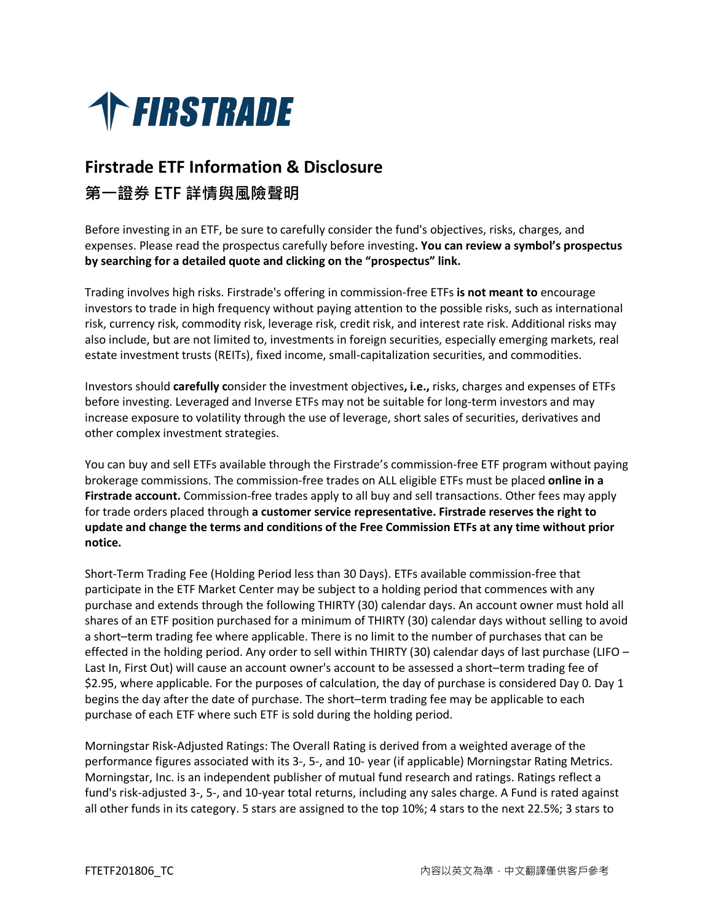

## **Firstrade ETF Information & Disclosure 第一證券 ETF 詳情與風險聲明**

Before investing in an ETF, be sure to carefully consider the fund's objectives, risks, charges, and expenses. Please read the prospectus carefully before investing**. You can review a symbol's prospectus by searching for a detailed quote and clicking on the "prospectus" link.**

Trading involves high risks. Firstrade's offering in commission-free ETFs **is not meant to** encourage investors to trade in high frequency without paying attention to the possible risks, such as international risk, currency risk, commodity risk, leverage risk, credit risk, and interest rate risk. Additional risks may also include, but are not limited to, investments in foreign securities, especially emerging markets, real estate investment trusts (REITs), fixed income, small-capitalization securities, and commodities.

Investors should **carefully c**onsider the investment objectives**, i.e.,** risks, charges and expenses of ETFs before investing. Leveraged and Inverse ETFs may not be suitable for long-term investors and may increase exposure to volatility through the use of leverage, short sales of securities, derivatives and other complex investment strategies.

You can buy and sell ETFs available through the Firstrade's commission-free ETF program without paying brokerage commissions. The commission-free trades on ALL eligible ETFs must be placed **online in a Firstrade account.** Commission-free trades apply to all buy and sell transactions. Other fees may apply for trade orders placed through **a customer service representative. Firstrade reserves the right to update and change the terms and conditions of the Free Commission ETFs at any time without prior notice.**

Short-Term Trading Fee (Holding Period less than 30 Days). ETFs available commission-free that participate in the ETF Market Center may be subject to a holding period that commences with any purchase and extends through the following THIRTY (30) calendar days. An account owner must hold all shares of an ETF position purchased for a minimum of THIRTY (30) calendar days without selling to avoid a short–term trading fee where applicable. There is no limit to the number of purchases that can be effected in the holding period. Any order to sell within THIRTY (30) calendar days of last purchase (LIFO – Last In, First Out) will cause an account owner's account to be assessed a short–term trading fee of \$2.95, where applicable. For the purposes of calculation, the day of purchase is considered Day 0. Day 1 begins the day after the date of purchase. The short–term trading fee may be applicable to each purchase of each ETF where such ETF is sold during the holding period.

Morningstar Risk-Adjusted Ratings: The Overall Rating is derived from a weighted average of the performance figures associated with its 3-, 5-, and 10- year (if applicable) Morningstar Rating Metrics. Morningstar, Inc. is an independent publisher of mutual fund research and ratings. Ratings reflect a fund's risk-adjusted 3-, 5-, and 10-year total returns, including any sales charge. A Fund is rated against all other funds in its category. 5 stars are assigned to the top 10%; 4 stars to the next 22.5%; 3 stars to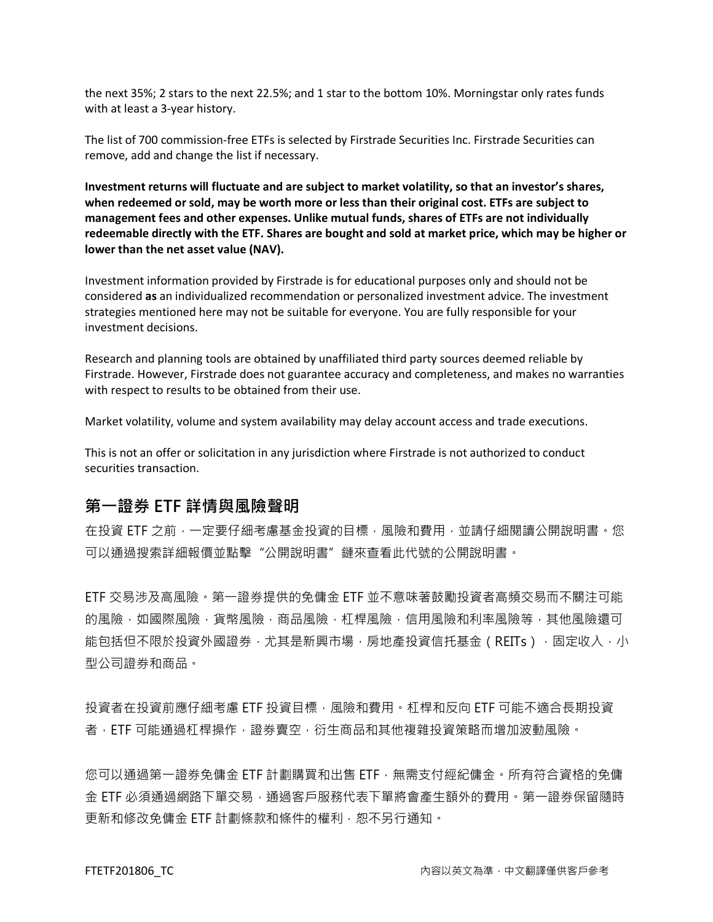the next 35%; 2 stars to the next 22.5%; and 1 star to the bottom 10%. Morningstar only rates funds with at least a 3-year history.

The list of 700 commission-free ETFs is selected by Firstrade Securities Inc. Firstrade Securities can remove, add and change the list if necessary.

**Investment returns will fluctuate and are subject to market volatility, so that an investor's shares, when redeemed or sold, may be worth more or less than their original cost. ETFs are subject to management fees and other expenses. Unlike mutual funds, shares of ETFs are not individually redeemable directly with the ETF. Shares are bought and sold at market price, which may be higher or lower than the net asset value (NAV).**

Investment information provided by Firstrade is for educational purposes only and should not be considered **as** an individualized recommendation or personalized investment advice. The investment strategies mentioned here may not be suitable for everyone. You are fully responsible for your investment decisions.

Research and planning tools are obtained by unaffiliated third party sources deemed reliable by Firstrade. However, Firstrade does not guarantee accuracy and completeness, and makes no warranties with respect to results to be obtained from their use.

Market volatility, volume and system availability may delay account access and trade executions.

This is not an offer or solicitation in any jurisdiction where Firstrade is not authorized to conduct securities transaction.

## **第一證券 ETF 詳情與風險聲明**

在投資 ETF 之前,一定要仔細考慮基金投資的目標,風險和費用,並請仔細閱讀公開說明書。您 可以通過搜索詳細報價並點擊"公開說明書"鏈來查看此代號的公開說明書。

ETF 交易涉及高風險。第一證券提供的免傭金 ETF 並不意味著鼓勵投資者高頻交易而不關注可能 的風險,如國際風險,貨幣風險,商品風險,杠桿風險,信用風險和利率風險等,其他風險還可 能包括但不限於投資外國證券,尤其是新興市場,房地產投資信托基金(REITs),固定收入,小 型公司證券和商品。

投資者在投資前應仔細考慮 ETF 投資目標,風險和費用。杠桿和反向 ETF 可能不適合長期投資 者, ETF 可能通過杠桿操作,證券賣空, 衍生商品和其他複雜投資策略而增加波動風險。

您可以通過第一證券免傭金 ETF 計劃購買和出售 ETF,無需支付經紀傭金。所有符合資格的免傭 金 ETF 必須通過網路下單交易,通過客戶服務代表下單將會產生額外的費用。第一證券保留隨時 更新和修改免傭金 ETF 計劃條款和條件的權利,恕不另行通知。